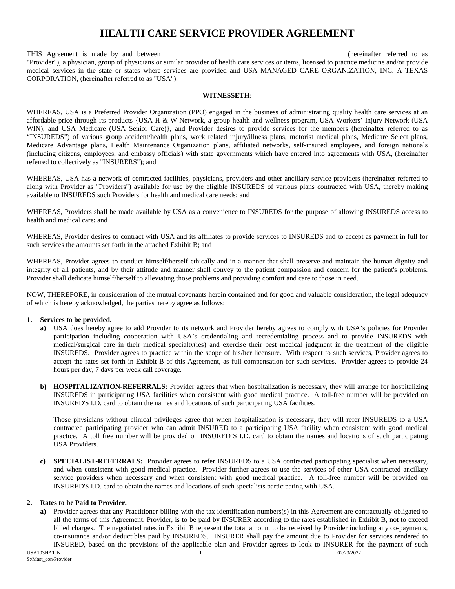## **HEALTH CARE SERVICE PROVIDER AGREEMENT**

THIS Agreement is made by and between \_\_\_\_\_\_\_\_\_\_\_\_\_\_\_\_\_\_\_\_\_\_\_\_\_\_\_\_\_\_\_\_\_\_\_\_\_\_\_\_\_\_\_\_\_\_\_\_\_\_ (hereinafter referred to as "Provider"), a physician, group of physicians or similar provider of health care services or items, licensed to practice medicine and/or provide medical services in the state or states where services are provided and USA MANAGED CARE ORGANIZATION, INC. A TEXAS CORPORATION, (hereinafter referred to as "USA").

#### **WITNESSETH:**

WHEREAS, USA is a Preferred Provider Organization (PPO) engaged in the business of administrating quality health care services at an affordable price through its products {USA H & W Network, a group health and wellness program, USA Workers' Injury Network (USA WIN), and USA Medicare (USA Senior Care), and Provider desires to provide services for the members (hereinafter referred to as "INSUREDS") of various group accident/health plans, work related injury/illness plans, motorist medical plans, Medicare Select plans, Medicare Advantage plans, Health Maintenance Organization plans, affiliated networks, self-insured employers, and foreign nationals (including citizens, employees, and embassy officials) with state governments which have entered into agreements with USA, (hereinafter referred to collectively as "INSURERS"); and

WHEREAS, USA has a network of contracted facilities, physicians, providers and other ancillary service providers (hereinafter referred to along with Provider as "Providers") available for use by the eligible INSUREDS of various plans contracted with USA, thereby making available to INSUREDS such Providers for health and medical care needs; and

WHEREAS, Providers shall be made available by USA as a convenience to INSUREDS for the purpose of allowing INSUREDS access to health and medical care; and

WHEREAS, Provider desires to contract with USA and its affiliates to provide services to INSUREDS and to accept as payment in full for such services the amounts set forth in the attached Exhibit B; and

WHEREAS, Provider agrees to conduct himself/herself ethically and in a manner that shall preserve and maintain the human dignity and integrity of all patients, and by their attitude and manner shall convey to the patient compassion and concern for the patient's problems. Provider shall dedicate himself/herself to alleviating those problems and providing comfort and care to those in need.

NOW, THEREFORE, in consideration of the mutual covenants herein contained and for good and valuable consideration, the legal adequacy of which is hereby acknowledged, the parties hereby agree as follows:

#### **1. Services to be provided.**

- **a)** USA does hereby agree to add Provider to its network and Provider hereby agrees to comply with USA's policies for Provider participation including cooperation with USA's credentialing and recredentialing process and to provide INSUREDS with medical/surgical care in their medical specialty(ies) and exercise their best medical judgment in the treatment of the eligible INSUREDS. Provider agrees to practice within the scope of his/her licensure. With respect to such services, Provider agrees to accept the rates set forth in Exhibit B of this Agreement, as full compensation for such services. Provider agrees to provide 24 hours per day, 7 days per week call coverage.
- **b) HOSPITALIZATION-REFERRALS:** Provider agrees that when hospitalization is necessary, they will arrange for hospitalizing INSUREDS in participating USA facilities when consistent with good medical practice. A toll-free number will be provided on INSURED'S I.D. card to obtain the names and locations of such participating USA facilities.

Those physicians without clinical privileges agree that when hospitalization is necessary, they will refer INSUREDS to a USA contracted participating provider who can admit INSURED to a participating USA facility when consistent with good medical practice. A toll free number will be provided on INSURED'S I.D. card to obtain the names and locations of such participating USA Providers.

**SPECIALIST-REFERRALS:** Provider agrees to refer INSUREDS to a USA contracted participating specialist when necessary, and when consistent with good medical practice. Provider further agrees to use the services of other USA contracted ancillary service providers when necessary and when consistent with good medical practice. A toll-free number will be provided on INSURED'S I.D. card to obtain the names and locations of such specialists participating with USA.

#### **2. Rates to be Paid to Provider.**

**a)** Provider agrees that any Practitioner billing with the tax identification numbers(s) in this Agreement are contractually obligated to all the terms of this Agreement. Provider, is to be paid by INSURER according to the rates established in Exhibit B, not to exceed billed charges. The negotiated rates in Exhibit B represent the total amount to be received by Provider including any co-payments, co-insurance and/or deductibles paid by INSUREDS. INSURER shall pay the amount due to Provider for services rendered to INSURED, based on the provisions of the applicable plan and Provider agrees to look to INSURER for the payment of such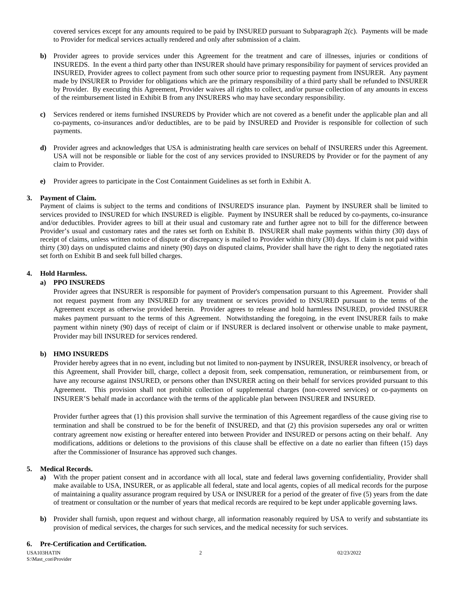covered services except for any amounts required to be paid by INSURED pursuant to Subparagraph 2(c). Payments will be made to Provider for medical services actually rendered and only after submission of a claim.

- **b)** Provider agrees to provide services under this Agreement for the treatment and care of illnesses, injuries or conditions of INSUREDS. In the event a third party other than INSURER should have primary responsibility for payment of services provided an INSURED, Provider agrees to collect payment from such other source prior to requesting payment from INSURER. Any payment made by INSURER to Provider for obligations which are the primary responsibility of a third party shall be refunded to INSURER by Provider. By executing this Agreement, Provider waives all rights to collect, and/or pursue collection of any amounts in excess of the reimbursement listed in Exhibit B from any INSURERS who may have secondary responsibility.
- **c)** Services rendered or items furnished INSUREDS by Provider which are not covered as a benefit under the applicable plan and all co-payments, co-insurances and/or deductibles, are to be paid by INSURED and Provider is responsible for collection of such payments.
- **d)** Provider agrees and acknowledges that USA is administrating health care services on behalf of INSURERS under this Agreement. USA will not be responsible or liable for the cost of any services provided to INSUREDS by Provider or for the payment of any claim to Provider.
- **e)** Provider agrees to participate in the Cost Containment Guidelines as set forth in Exhibit A.

#### **3. Payment of Claim.**

Payment of claims is subject to the terms and conditions of INSURED'S insurance plan. Payment by INSURER shall be limited to services provided to INSURED for which INSURED is eligible. Payment by INSURER shall be reduced by co-payments, co-insurance and/or deductibles. Provider agrees to bill at their usual and customary rate and further agree not to bill for the difference between Provider's usual and customary rates and the rates set forth on Exhibit B. INSURER shall make payments within thirty (30) days of receipt of claims, unless written notice of dispute or discrepancy is mailed to Provider within thirty (30) days. If claim is not paid within thirty (30) days on undisputed claims and ninety (90) days on disputed claims, Provider shall have the right to deny the negotiated rates set forth on Exhibit B and seek full billed charges.

#### **4. Hold Harmless.**

#### **a) PPO INSUREDS**

Provider agrees that INSURER is responsible for payment of Provider's compensation pursuant to this Agreement. Provider shall not request payment from any INSURED for any treatment or services provided to INSURED pursuant to the terms of the Agreement except as otherwise provided herein. Provider agrees to release and hold harmless INSURED, provided INSURER makes payment pursuant to the terms of this Agreement. Notwithstanding the foregoing, in the event INSURER fails to make payment within ninety (90) days of receipt of claim or if INSURER is declared insolvent or otherwise unable to make payment, Provider may bill INSURED for services rendered.

#### **b) HMO INSUREDS**

Provider hereby agrees that in no event, including but not limited to non-payment by INSURER, INSURER insolvency, or breach of this Agreement, shall Provider bill, charge, collect a deposit from, seek compensation, remuneration, or reimbursement from, or have any recourse against INSURED, or persons other than INSURER acting on their behalf for services provided pursuant to this Agreement. This provision shall not prohibit collection of supplemental charges (non-covered services) or co-payments on INSURER'S behalf made in accordance with the terms of the applicable plan between INSURER and INSURED.

Provider further agrees that (1) this provision shall survive the termination of this Agreement regardless of the cause giving rise to termination and shall be construed to be for the benefit of INSURED, and that (2) this provision supersedes any oral or written contrary agreement now existing or hereafter entered into between Provider and INSURED or persons acting on their behalf. Any modifications, additions or deletions to the provisions of this clause shall be effective on a date no earlier than fifteen (15) days after the Commissioner of Insurance has approved such changes.

#### **5. Medical Records.**

- **a)** With the proper patient consent and in accordance with all local, state and federal laws governing confidentiality, Provider shall make available to USA, INSURER, or as applicable all federal, state and local agents, copies of all medical records for the purpose of maintaining a quality assurance program required by USA or INSURER for a period of the greater of five (5) years from the date of treatment or consultation or the number of years that medical records are required to be kept under applicable governing laws.
- **b)** Provider shall furnish, upon request and without charge, all information reasonably required by USA to verify and substantiate its provision of medical services, the charges for such services, and the medical necessity for such services.

#### **6. Pre-Certification and Certification.**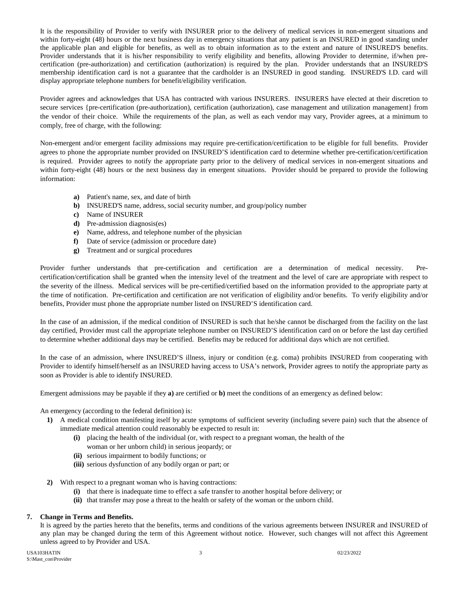It is the responsibility of Provider to verify with INSURER prior to the delivery of medical services in non-emergent situations and within forty-eight (48) hours or the next business day in emergency situations that any patient is an INSURED in good standing under the applicable plan and eligible for benefits, as well as to obtain information as to the extent and nature of INSURED'S benefits. Provider understands that it is his/her responsibility to verify eligibility and benefits, allowing Provider to determine, if/when precertification (pre-authorization) and certification (authorization) is required by the plan. Provider understands that an INSURED'S membership identification card is not a guarantee that the cardholder is an INSURED in good standing. INSURED'S I.D. card will display appropriate telephone numbers for benefit/eligibility verification.

Provider agrees and acknowledges that USA has contracted with various INSURERS. INSURERS have elected at their discretion to secure services {pre-certification (pre-authorization), certification (authorization), case management and utilization management} from the vendor of their choice. While the requirements of the plan, as well as each vendor may vary, Provider agrees, at a minimum to comply, free of charge, with the following:

Non-emergent and/or emergent facility admissions may require pre-certification/certification to be eligible for full benefits. Provider agrees to phone the appropriate number provided on INSURED'S identification card to determine whether pre-certification/certification is required. Provider agrees to notify the appropriate party prior to the delivery of medical services in non-emergent situations and within forty-eight (48) hours or the next business day in emergent situations. Provider should be prepared to provide the following information:

- **a)** Patient's name, sex, and date of birth
- **b)** INSURED'S name, address, social security number, and group/policy number
- **c)** Name of INSURER
- **d)** Pre-admission diagnosis(es)
- **e)** Name, address, and telephone number of the physician
- **f)** Date of service (admission or procedure date)
- **g)** Treatment and or surgical procedures

Provider further understands that pre-certification and certification are a determination of medical necessity. Precertification/certification shall be granted when the intensity level of the treatment and the level of care are appropriate with respect to the severity of the illness. Medical services will be pre-certified/certified based on the information provided to the appropriate party at the time of notification. Pre-certification and certification are not verification of eligibility and/or benefits. To verify eligibility and/or benefits, Provider must phone the appropriate number listed on INSURED'S identification card.

In the case of an admission, if the medical condition of INSURED is such that he/she cannot be discharged from the facility on the last day certified, Provider must call the appropriate telephone number on INSURED'S identification card on or before the last day certified to determine whether additional days may be certified. Benefits may be reduced for additional days which are not certified.

In the case of an admission, where INSURED'S illness, injury or condition (e.g. coma) prohibits INSURED from cooperating with Provider to identify himself/herself as an INSURED having access to USA's network, Provider agrees to notify the appropriate party as soon as Provider is able to identify INSURED.

Emergent admissions may be payable if they **a)** are certified or **b)** meet the conditions of an emergency as defined below:

An emergency (according to the federal definition) is:

- **1)** A medical condition manifesting itself by acute symptoms of sufficient severity (including severe pain) such that the absence of immediate medical attention could reasonably be expected to result in:
	- **(i)** placing the health of the individual (or, with respect to a pregnant woman, the health of the
		- woman or her unborn child) in serious jeopardy; or
	- **(ii)** serious impairment to bodily functions; or
	- **(iii)** serious dysfunction of any bodily organ or part; or
- **2)** With respect to a pregnant woman who is having contractions:
	- **(i)** that there is inadequate time to effect a safe transfer to another hospital before delivery; or
	- **(ii)** that transfer may pose a threat to the health or safety of the woman or the unborn child.

#### **7. Change in Terms and Benefits.**

It is agreed by the parties hereto that the benefits, terms and conditions of the various agreements between INSURER and INSURED of any plan may be changed during the term of this Agreement without notice. However, such changes will not affect this Agreement unless agreed to by Provider and USA.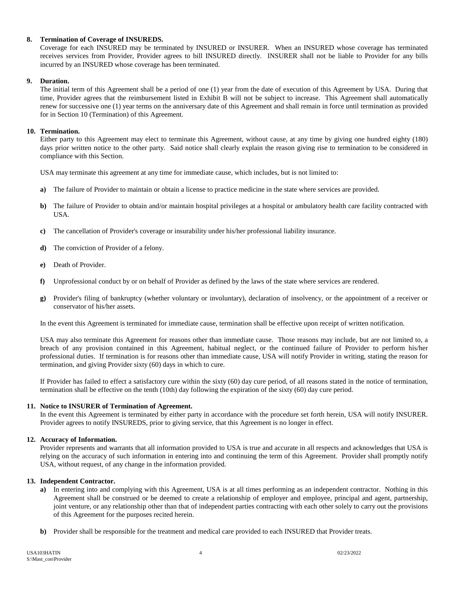#### **8. Termination of Coverage of INSUREDS.**

Coverage for each INSURED may be terminated by INSURED or INSURER. When an INSURED whose coverage has terminated receives services from Provider, Provider agrees to bill INSURED directly. INSURER shall not be liable to Provider for any bills incurred by an INSURED whose coverage has been terminated.

#### **9. Duration.**

The initial term of this Agreement shall be a period of one (1) year from the date of execution of this Agreement by USA. During that time, Provider agrees that the reimbursement listed in Exhibit B will not be subject to increase. This Agreement shall automatically renew for successive one (1) year terms on the anniversary date of this Agreement and shall remain in force until termination as provided for in Section 10 (Termination) of this Agreement.

#### **10. Termination.**

Either party to this Agreement may elect to terminate this Agreement, without cause, at any time by giving one hundred eighty (180) days prior written notice to the other party. Said notice shall clearly explain the reason giving rise to termination to be considered in compliance with this Section.

USA may terminate this agreement at any time for immediate cause, which includes, but is not limited to:

- **a)** The failure of Provider to maintain or obtain a license to practice medicine in the state where services are provided.
- **b)** The failure of Provider to obtain and/or maintain hospital privileges at a hospital or ambulatory health care facility contracted with USA.
- **c)** The cancellation of Provider's coverage or insurability under his/her professional liability insurance.
- **d)** The conviction of Provider of a felony.
- **e)** Death of Provider.
- **f)** Unprofessional conduct by or on behalf of Provider as defined by the laws of the state where services are rendered.
- **g)** Provider's filing of bankruptcy (whether voluntary or involuntary), declaration of insolvency, or the appointment of a receiver or conservator of his/her assets.

In the event this Agreement is terminated for immediate cause, termination shall be effective upon receipt of written notification.

USA may also terminate this Agreement for reasons other than immediate cause. Those reasons may include, but are not limited to, a breach of any provision contained in this Agreement, habitual neglect, or the continued failure of Provider to perform his/her professional duties. If termination is for reasons other than immediate cause, USA will notify Provider in writing, stating the reason for termination, and giving Provider sixty (60) days in which to cure.

If Provider has failed to effect a satisfactory cure within the sixty (60) day cure period, of all reasons stated in the notice of termination, termination shall be effective on the tenth (10th) day following the expiration of the sixty (60) day cure period.

#### **11. Notice to INSURER of Termination of Agreement.**

In the event this Agreement is terminated by either party in accordance with the procedure set forth herein, USA will notify INSURER. Provider agrees to notify INSUREDS, prior to giving service, that this Agreement is no longer in effect.

#### **12. Accuracy of Information.**

Provider represents and warrants that all information provided to USA is true and accurate in all respects and acknowledges that USA is relying on the accuracy of such information in entering into and continuing the term of this Agreement. Provider shall promptly notify USA, without request, of any change in the information provided.

#### **13. Independent Contractor.**

- **a)** In entering into and complying with this Agreement, USA is at all times performing as an independent contractor. Nothing in this Agreement shall be construed or be deemed to create a relationship of employer and employee, principal and agent, partnership, joint venture, or any relationship other than that of independent parties contracting with each other solely to carry out the provisions of this Agreement for the purposes recited herein.
- **b)** Provider shall be responsible for the treatment and medical care provided to each INSURED that Provider treats.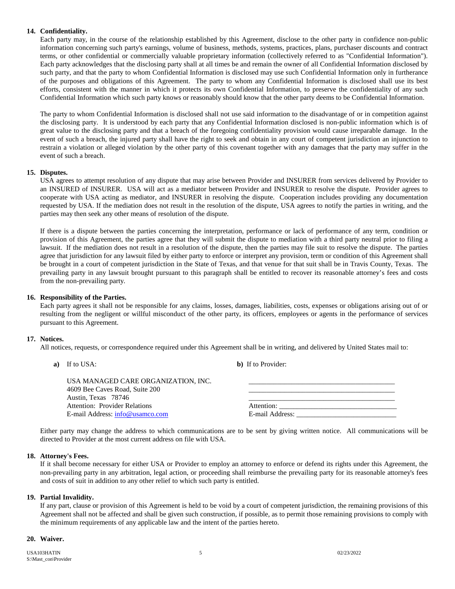#### **14. Confidentiality.**

Each party may, in the course of the relationship established by this Agreement, disclose to the other party in confidence non-public information concerning such party's earnings, volume of business, methods, systems, practices, plans, purchaser discounts and contract terms, or other confidential or commercially valuable proprietary information (collectively referred to as "Confidential Information"). Each party acknowledges that the disclosing party shall at all times be and remain the owner of all Confidential Information disclosed by such party, and that the party to whom Confidential Information is disclosed may use such Confidential Information only in furtherance of the purposes and obligations of this Agreement. The party to whom any Confidential Information is disclosed shall use its best efforts, consistent with the manner in which it protects its own Confidential Information, to preserve the confidentiality of any such Confidential Information which such party knows or reasonably should know that the other party deems to be Confidential Information.

The party to whom Confidential Information is disclosed shall not use said information to the disadvantage of or in competition against the disclosing party. It is understood by each party that any Confidential Information disclosed is non-public information which is of great value to the disclosing party and that a breach of the foregoing confidentiality provision would cause irreparable damage. In the event of such a breach, the injured party shall have the right to seek and obtain in any court of competent jurisdiction an injunction to restrain a violation or alleged violation by the other party of this covenant together with any damages that the party may suffer in the event of such a breach.

#### **15. Disputes.**

USA agrees to attempt resolution of any dispute that may arise between Provider and INSURER from services delivered by Provider to an INSURED of INSURER. USA will act as a mediator between Provider and INSURER to resolve the dispute. Provider agrees to cooperate with USA acting as mediator, and INSURER in resolving the dispute. Cooperation includes providing any documentation requested by USA. If the mediation does not result in the resolution of the dispute, USA agrees to notify the parties in writing, and the parties may then seek any other means of resolution of the dispute.

If there is a dispute between the parties concerning the interpretation, performance or lack of performance of any term, condition or provision of this Agreement, the parties agree that they will submit the dispute to mediation with a third party neutral prior to filing a lawsuit. If the mediation does not result in a resolution of the dispute, then the parties may file suit to resolve the dispute. The parties agree that jurisdiction for any lawsuit filed by either party to enforce or interpret any provision, term or condition of this Agreement shall be brought in a court of competent jurisdiction in the State of Texas, and that venue for that suit shall be in Travis County, Texas. The prevailing party in any lawsuit brought pursuant to this paragraph shall be entitled to recover its reasonable attorney's fees and costs from the non-prevailing party.

#### **16. Responsibility of the Parties.**

Each party agrees it shall not be responsible for any claims, losses, damages, liabilities, costs, expenses or obligations arising out of or resulting from the negligent or willful misconduct of the other party, its officers, employees or agents in the performance of services pursuant to this Agreement.

#### **17. Notices.**

All notices, requests, or correspondence required under this Agreement shall be in writing, and delivered by United States mail to:

**a)** If to USA: **b)** If to Provider:

| USA MANAGED CARE ORGANIZATION. INC.<br>4609 Bee Caves Road, Suite 200<br>Austin, Texas 78746 |                 |
|----------------------------------------------------------------------------------------------|-----------------|
| Attention: Provider Relations                                                                | Attention:      |
| E-mail Address: info@usamco.com                                                              | E-mail Address: |

Either party may change the address to which communications are to be sent by giving written notice. All communications will be directed to Provider at the most current address on file with USA.

#### **18. Attorney's Fees.**

If it shall become necessary for either USA or Provider to employ an attorney to enforce or defend its rights under this Agreement, the non-prevailing party in any arbitration, legal action, or proceeding shall reimburse the prevailing party for its reasonable attorney's fees and costs of suit in addition to any other relief to which such party is entitled.

#### **19. Partial Invalidity.**

If any part, clause or provision of this Agreement is held to be void by a court of competent jurisdiction, the remaining provisions of this Agreement shall not be affected and shall be given such construction, if possible, as to permit those remaining provisions to comply with the minimum requirements of any applicable law and the intent of the parties hereto.

#### **20. Waiver.**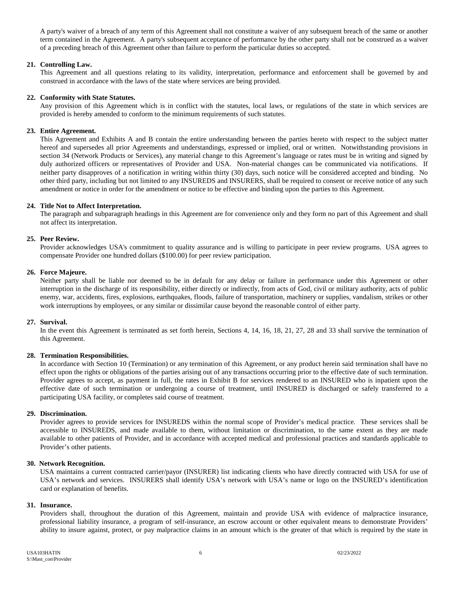A party's waiver of a breach of any term of this Agreement shall not constitute a waiver of any subsequent breach of the same or another term contained in the Agreement. A party's subsequent acceptance of performance by the other party shall not be construed as a waiver of a preceding breach of this Agreement other than failure to perform the particular duties so accepted.

#### **21. Controlling Law.**

This Agreement and all questions relating to its validity, interpretation, performance and enforcement shall be governed by and construed in accordance with the laws of the state where services are being provided.

#### **22. Conformity with State Statutes.**

Any provision of this Agreement which is in conflict with the statutes, local laws, or regulations of the state in which services are provided is hereby amended to conform to the minimum requirements of such statutes.

#### **23. Entire Agreement.**

This Agreement and Exhibits A and B contain the entire understanding between the parties hereto with respect to the subject matter hereof and supersedes all prior Agreements and understandings, expressed or implied, oral or written. Notwithstanding provisions in section 34 (Network Products or Services), any material change to this Agreement's language or rates must be in writing and signed by duly authorized officers or representatives of Provider and USA. Non-material changes can be communicated via notifications. If neither party disapproves of a notification in writing within thirty (30) days, such notice will be considered accepted and binding. No other third party, including but not limited to any INSUREDS and INSURERS, shall be required to consent or receive notice of any such amendment or notice in order for the amendment or notice to be effective and binding upon the parties to this Agreement.

#### **24. Title Not to Affect Interpretation.**

The paragraph and subparagraph headings in this Agreement are for convenience only and they form no part of this Agreement and shall not affect its interpretation.

#### **25. Peer Review.**

Provider acknowledges USA's commitment to quality assurance and is willing to participate in peer review programs. USA agrees to compensate Provider one hundred dollars (\$100.00) for peer review participation.

#### **26. Force Majeure.**

Neither party shall be liable nor deemed to be in default for any delay or failure in performance under this Agreement or other interruption in the discharge of its responsibility, either directly or indirectly, from acts of God, civil or military authority, acts of public enemy, war, accidents, fires, explosions, earthquakes, floods, failure of transportation, machinery or supplies, vandalism, strikes or other work interruptions by employees, or any similar or dissimilar cause beyond the reasonable control of either party.

#### **27. Survival.**

In the event this Agreement is terminated as set forth herein, Sections 4, 14, 16, 18, 21, 27, 28 and 33 shall survive the termination of this Agreement.

#### **28. Termination Responsibilities.**

In accordance with Section 10 (Termination) or any termination of this Agreement, or any product herein said termination shall have no effect upon the rights or obligations of the parties arising out of any transactions occurring prior to the effective date of such termination. Provider agrees to accept, as payment in full, the rates in Exhibit B for services rendered to an INSURED who is inpatient upon the effective date of such termination or undergoing a course of treatment, until INSURED is discharged or safely transferred to a participating USA facility, or completes said course of treatment.

#### **29. Discrimination.**

Provider agrees to provide services for INSUREDS within the normal scope of Provider's medical practice. These services shall be accessible to INSUREDS, and made available to them, without limitation or discrimination, to the same extent as they are made available to other patients of Provider, and in accordance with accepted medical and professional practices and standards applicable to Provider's other patients.

#### **30. Network Recognition.**

USA maintains a current contracted carrier/payor (INSURER) list indicating clients who have directly contracted with USA for use of USA's network and services. INSURERS shall identify USA's network with USA's name or logo on the INSURED's identification card or explanation of benefits.

#### **31. Insurance.**

Providers shall, throughout the duration of this Agreement, maintain and provide USA with evidence of malpractice insurance, professional liability insurance, a program of self-insurance, an escrow account or other equivalent means to demonstrate Providers' ability to insure against, protect, or pay malpractice claims in an amount which is the greater of that which is required by the state in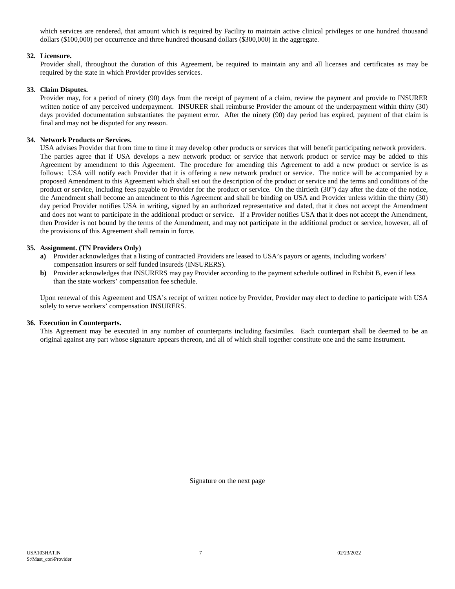which services are rendered, that amount which is required by Facility to maintain active clinical privileges or one hundred thousand dollars (\$100,000) per occurrence and three hundred thousand dollars (\$300,000) in the aggregate.

#### **32. Licensure.**

Provider shall, throughout the duration of this Agreement, be required to maintain any and all licenses and certificates as may be required by the state in which Provider provides services.

#### **33. Claim Disputes.**

Provider may, for a period of ninety (90) days from the receipt of payment of a claim, review the payment and provide to INSURER written notice of any perceived underpayment. INSURER shall reimburse Provider the amount of the underpayment within thirty (30) days provided documentation substantiates the payment error. After the ninety (90) day period has expired, payment of that claim is final and may not be disputed for any reason.

#### **34. Network Products or Services.**

USA advises Provider that from time to time it may develop other products or services that will benefit participating network providers. The parties agree that if USA develops a new network product or service that network product or service may be added to this Agreement by amendment to this Agreement. The procedure for amending this Agreement to add a new product or service is as follows: USA will notify each Provider that it is offering a new network product or service. The notice will be accompanied by a proposed Amendment to this Agreement which shall set out the description of the product or service and the terms and conditions of the product or service, including fees payable to Provider for the product or service. On the thirtieth (30<sup>th</sup>) day after the date of the notice, the Amendment shall become an amendment to this Agreement and shall be binding on USA and Provider unless within the thirty (30) day period Provider notifies USA in writing, signed by an authorized representative and dated, that it does not accept the Amendment and does not want to participate in the additional product or service. If a Provider notifies USA that it does not accept the Amendment, then Provider is not bound by the terms of the Amendment, and may not participate in the additional product or service, however, all of the provisions of this Agreement shall remain in force.

#### **35. Assignment. (TN Providers Only)**

- **a)** Provider acknowledges that a listing of contracted Providers are leased to USA's payors or agents, including workers' compensation insurers or self funded insureds (INSURERS).
- **b**) Provider acknowledges that INSURERS may pay Provider according to the payment schedule outlined in Exhibit B, even if less than the state workers' compensation fee schedule.

Upon renewal of this Agreement and USA's receipt of written notice by Provider, Provider may elect to decline to participate with USA solely to serve workers' compensation INSURERS.

#### **36. Execution in Counterparts.**

This Agreement may be executed in any number of counterparts including facsimiles. Each counterpart shall be deemed to be an original against any part whose signature appears thereon, and all of which shall together constitute one and the same instrument.

Signature on the next page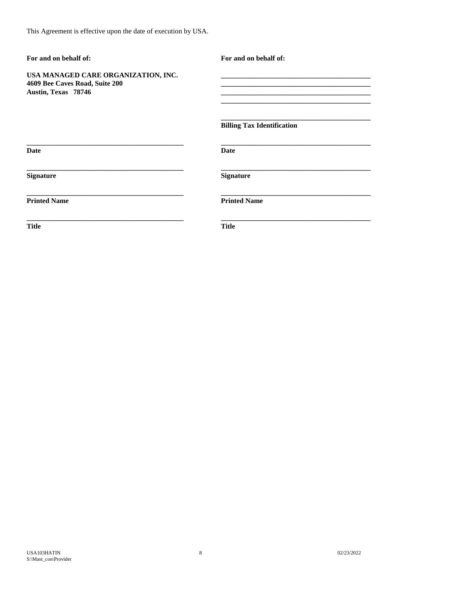| For and on behalf of:                                                                        | For and on behalf of:             |
|----------------------------------------------------------------------------------------------|-----------------------------------|
| USA MANAGED CARE ORGANIZATION, INC.<br>4609 Bee Caves Road, Suite 200<br>Austin, Texas 78746 |                                   |
|                                                                                              | <b>Billing Tax Identification</b> |
| <b>Date</b>                                                                                  | Date                              |
| <b>Signature</b>                                                                             | <b>Signature</b>                  |
| <b>Printed Name</b>                                                                          | <b>Printed Name</b>               |
| <b>Title</b>                                                                                 | <b>Title</b>                      |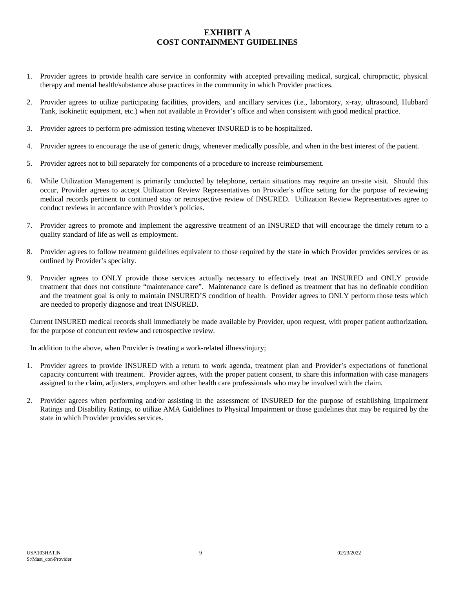## **EXHIBIT A COST CONTAINMENT GUIDELINES**

- 1. Provider agrees to provide health care service in conformity with accepted prevailing medical, surgical, chiropractic, physical therapy and mental health/substance abuse practices in the community in which Provider practices.
- 2. Provider agrees to utilize participating facilities, providers, and ancillary services (i.e., laboratory, x-ray, ultrasound, Hubbard Tank, isokinetic equipment, etc.) when not available in Provider's office and when consistent with good medical practice.
- 3. Provider agrees to perform pre-admission testing whenever INSURED is to be hospitalized.
- 4. Provider agrees to encourage the use of generic drugs, whenever medically possible, and when in the best interest of the patient.
- 5. Provider agrees not to bill separately for components of a procedure to increase reimbursement.
- 6. While Utilization Management is primarily conducted by telephone, certain situations may require an on-site visit. Should this occur, Provider agrees to accept Utilization Review Representatives on Provider's office setting for the purpose of reviewing medical records pertinent to continued stay or retrospective review of INSURED. Utilization Review Representatives agree to conduct reviews in accordance with Provider's policies.
- 7. Provider agrees to promote and implement the aggressive treatment of an INSURED that will encourage the timely return to a quality standard of life as well as employment.
- 8. Provider agrees to follow treatment guidelines equivalent to those required by the state in which Provider provides services or as outlined by Provider's specialty.
- 9. Provider agrees to ONLY provide those services actually necessary to effectively treat an INSURED and ONLY provide treatment that does not constitute "maintenance care". Maintenance care is defined as treatment that has no definable condition and the treatment goal is only to maintain INSURED'S condition of health. Provider agrees to ONLY perform those tests which are needed to properly diagnose and treat INSURED.

Current INSURED medical records shall immediately be made available by Provider, upon request, with proper patient authorization, for the purpose of concurrent review and retrospective review.

In addition to the above, when Provider is treating a work-related illness/injury;

- 1. Provider agrees to provide INSURED with a return to work agenda, treatment plan and Provider's expectations of functional capacity concurrent with treatment. Provider agrees, with the proper patient consent, to share this information with case managers assigned to the claim, adjusters, employers and other health care professionals who may be involved with the claim.
- 2. Provider agrees when performing and/or assisting in the assessment of INSURED for the purpose of establishing Impairment Ratings and Disability Ratings, to utilize AMA Guidelines to Physical Impairment or those guidelines that may be required by the state in which Provider provides services.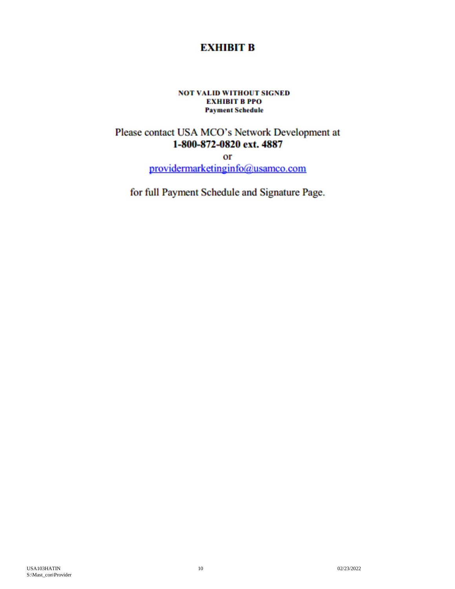## **EXHIBIT B EXH Payment Schedule for**

# **POT VALID WITHOUT SIGNED<br>EXHIBIT B PPO Payment Schedule**

 $\mathbf{P}$ Please contact USA MCO s Network Development at 1-800-872-0820 ext. 4887

or<br>providermarketinginfo@usamco.com **\***Based on American Society of Anesthesiologists 15-minute increments. Reimbursement for anesthesiologists billing with codes listed in

the Relative Value Guide as published by ASA, will be determined by adding a Basic Value, which is related to the complexity of the for full Payment Schedule and Signature Page.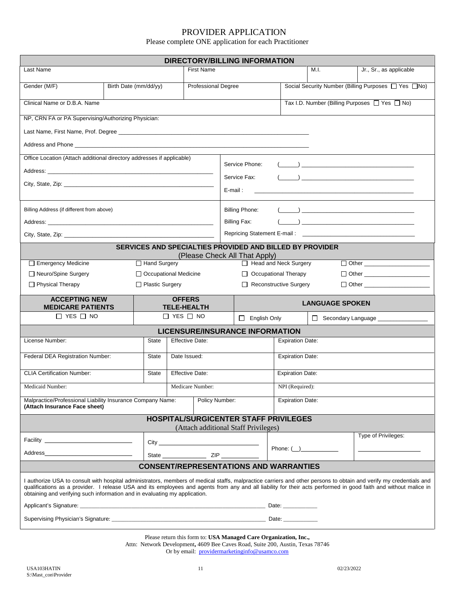## PROVIDER APPLICATION

Please complete ONE application for each Practitioner

| <b>DIRECTORY/BILLING INFORMATION</b>                                                                                                                                                                                                 |                       |                                        |                                            |                   |                                                               |                                                     |                         |                        |                                                                                                                                                                                                                                                                                                                                        |
|--------------------------------------------------------------------------------------------------------------------------------------------------------------------------------------------------------------------------------------|-----------------------|----------------------------------------|--------------------------------------------|-------------------|---------------------------------------------------------------|-----------------------------------------------------|-------------------------|------------------------|----------------------------------------------------------------------------------------------------------------------------------------------------------------------------------------------------------------------------------------------------------------------------------------------------------------------------------------|
| Last Name                                                                                                                                                                                                                            |                       |                                        |                                            | <b>First Name</b> |                                                               |                                                     |                         | M.I.                   | Jr., Sr., as applicable                                                                                                                                                                                                                                                                                                                |
| Gender (M/F)                                                                                                                                                                                                                         | Birth Date (mm/dd/yy) |                                        | Professional Degree                        |                   |                                                               | Social Security Number (Billing Purposes □ Yes □No) |                         |                        |                                                                                                                                                                                                                                                                                                                                        |
| Clinical Name or D.B.A. Name                                                                                                                                                                                                         |                       |                                        |                                            |                   |                                                               |                                                     |                         |                        | Tax I.D. Number (Billing Purposes □ Yes □ No)                                                                                                                                                                                                                                                                                          |
| NP, CRN FA or PA Supervising/Authorizing Physician:                                                                                                                                                                                  |                       |                                        |                                            |                   |                                                               |                                                     |                         |                        |                                                                                                                                                                                                                                                                                                                                        |
|                                                                                                                                                                                                                                      |                       |                                        |                                            |                   |                                                               |                                                     |                         |                        |                                                                                                                                                                                                                                                                                                                                        |
| Address and Phone <b>Commission Control and Control Control and Control Control Control Control Control Control Control Control Control Control Control Control Control Control Control Control Control Control Control Control </b> |                       |                                        |                                            |                   |                                                               |                                                     |                         |                        |                                                                                                                                                                                                                                                                                                                                        |
| Office Location (Attach additional directory addresses if applicable)                                                                                                                                                                |                       |                                        |                                            |                   | Service Phone:                                                |                                                     |                         |                        |                                                                                                                                                                                                                                                                                                                                        |
|                                                                                                                                                                                                                                      |                       |                                        |                                            |                   |                                                               |                                                     |                         |                        |                                                                                                                                                                                                                                                                                                                                        |
|                                                                                                                                                                                                                                      |                       |                                        |                                            |                   | Service Fax:                                                  |                                                     |                         |                        | $\overline{\phantom{a}}$ ) and the contract of the contract of $\overline{\phantom{a}}$                                                                                                                                                                                                                                                |
|                                                                                                                                                                                                                                      |                       |                                        |                                            |                   | E-mail:                                                       |                                                     |                         |                        |                                                                                                                                                                                                                                                                                                                                        |
| Billing Address (if different from above)                                                                                                                                                                                            |                       |                                        |                                            |                   | <b>Billing Phone:</b>                                         |                                                     |                         |                        | $\overline{a}$ (i.e., $\overline{a}$ ) and the contract of the contract of the contract of the contract of the contract of the contract of the contract of the contract of the contract of the contract of the contract of the contract of                                                                                             |
|                                                                                                                                                                                                                                      |                       |                                        |                                            |                   | <b>Billing Fax:</b>                                           |                                                     |                         |                        |                                                                                                                                                                                                                                                                                                                                        |
|                                                                                                                                                                                                                                      |                       |                                        |                                            |                   |                                                               |                                                     |                         |                        |                                                                                                                                                                                                                                                                                                                                        |
|                                                                                                                                                                                                                                      |                       |                                        |                                            |                   | SERVICES AND SPECIALTIES PROVIDED AND BILLED BY PROVIDER      |                                                     |                         |                        |                                                                                                                                                                                                                                                                                                                                        |
| Emergency Medicine                                                                                                                                                                                                                   |                       | □ Hand Surgery                         |                                            |                   | (Please Check All That Apply)<br>Head and Neck Surgery        |                                                     |                         |                        |                                                                                                                                                                                                                                                                                                                                        |
| □ Neuro/Spine Surgery                                                                                                                                                                                                                |                       |                                        | □ Occupational Medicine                    |                   | Occupational Therapy                                          |                                                     |                         |                        |                                                                                                                                                                                                                                                                                                                                        |
| $\Box$ Physical Therapy                                                                                                                                                                                                              |                       | □ Plastic Surgery                      |                                            |                   | Reconstructive Surgery                                        |                                                     |                         |                        |                                                                                                                                                                                                                                                                                                                                        |
| <b>ACCEPTING NEW</b>                                                                                                                                                                                                                 |                       |                                        | <b>OFFERS</b>                              |                   |                                                               |                                                     |                         | <b>LANGUAGE SPOKEN</b> |                                                                                                                                                                                                                                                                                                                                        |
| <b>MEDICARE PATIENTS</b><br>$\Box$ YES $\Box$ NO                                                                                                                                                                                     |                       |                                        | <b>TELE-HEALTH</b><br>$\Box$ YES $\Box$ NO |                   |                                                               |                                                     |                         |                        |                                                                                                                                                                                                                                                                                                                                        |
|                                                                                                                                                                                                                                      |                       |                                        |                                            |                   | $\Box$ English Only<br><b>LICENSURE/INSURANCE INFORMATION</b> |                                                     |                         |                        | Secondary Language _____________                                                                                                                                                                                                                                                                                                       |
| License Number:                                                                                                                                                                                                                      |                       | State                                  | <b>Effective Date:</b>                     |                   |                                                               |                                                     | <b>Expiration Date:</b> |                        |                                                                                                                                                                                                                                                                                                                                        |
| Federal DEA Registration Number:                                                                                                                                                                                                     |                       | <b>State</b>                           | <b>Expiration Date:</b><br>Date Issued:    |                   |                                                               |                                                     |                         |                        |                                                                                                                                                                                                                                                                                                                                        |
|                                                                                                                                                                                                                                      |                       |                                        |                                            |                   |                                                               |                                                     |                         |                        |                                                                                                                                                                                                                                                                                                                                        |
| <b>CLIA Certification Number:</b>                                                                                                                                                                                                    |                       | <b>Effective Date:</b><br><b>State</b> |                                            |                   | <b>Expiration Date:</b>                                       |                                                     |                         |                        |                                                                                                                                                                                                                                                                                                                                        |
| Medicare Number:<br>NPI (Required):<br>Medicaid Number:                                                                                                                                                                              |                       |                                        |                                            |                   |                                                               |                                                     |                         |                        |                                                                                                                                                                                                                                                                                                                                        |
| Malpractice/Professional Liability Insurance Company Name:<br>(Attach Insurance Face sheet)                                                                                                                                          |                       |                                        |                                            | Policy Number:    |                                                               |                                                     | <b>Expiration Date:</b> |                        |                                                                                                                                                                                                                                                                                                                                        |
| <b>HOSPITAL/SURGICENTER STAFF PRIVILEGES</b><br>(Attach additional Staff Privileges)                                                                                                                                                 |                       |                                        |                                            |                   |                                                               |                                                     |                         |                        |                                                                                                                                                                                                                                                                                                                                        |
|                                                                                                                                                                                                                                      |                       |                                        |                                            |                   |                                                               |                                                     |                         |                        |                                                                                                                                                                                                                                                                                                                                        |
|                                                                                                                                                                                                                                      |                       |                                        |                                            |                   |                                                               |                                                     |                         |                        | Type of Privileges:                                                                                                                                                                                                                                                                                                                    |
|                                                                                                                                                                                                                                      |                       |                                        |                                            |                   |                                                               |                                                     |                         | Phone: $(\_)$          |                                                                                                                                                                                                                                                                                                                                        |
|                                                                                                                                                                                                                                      |                       |                                        |                                            |                   | <b>CONSENT/REPRESENTATIONS AND WARRANTIES</b>                 |                                                     |                         |                        |                                                                                                                                                                                                                                                                                                                                        |
| obtaining and verifying such information and in evaluating my application.                                                                                                                                                           |                       |                                        |                                            |                   |                                                               |                                                     |                         |                        | I authorize USA to consult with hospital administrators, members of medical staffs, malpractice carriers and other persons to obtain and verify my credentials and<br>qualifications as a provider. I release USA and its employees and agents from any and all liability for their acts performed in good faith and without malice in |
|                                                                                                                                                                                                                                      |                       |                                        |                                            |                   |                                                               |                                                     |                         |                        |                                                                                                                                                                                                                                                                                                                                        |
|                                                                                                                                                                                                                                      |                       |                                        |                                            |                   |                                                               |                                                     |                         |                        |                                                                                                                                                                                                                                                                                                                                        |

Please return this form to: **USA Managed Care Organization, Inc.,**  Attn: Network Development**,** 4609 Bee Caves Road, Suite 200, Austin, Texas 78746 Or by email: providermarketinginfo@usamco.com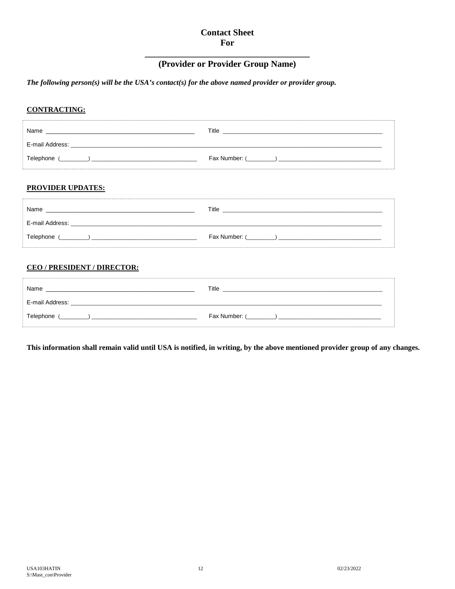## **Contact Sheet** For

# (Provider or Provider Group Name)

## The following person(s) will be the USA's contact(s) for the above named provider or provider group.

## **CONTRACTING:**

| Name            | Title         |
|-----------------|---------------|
| E-mail Address: |               |
| Telephone       | Fax Number: ( |

### **PROVIDER UPDATES:**

| Name            | Title         |
|-----------------|---------------|
| E-mail Address: |               |
| Telephone       | Fax Number: ( |

## CEO / PRESIDENT / DIRECTOR:

| Name                          | Title           |
|-------------------------------|-----------------|
| E-mail Address:               |                 |
| Telephone (<br>$\overline{a}$ | Fax Number: ( ) |

This information shall remain valid until USA is notified, in writing, by the above mentioned provider group of any changes.